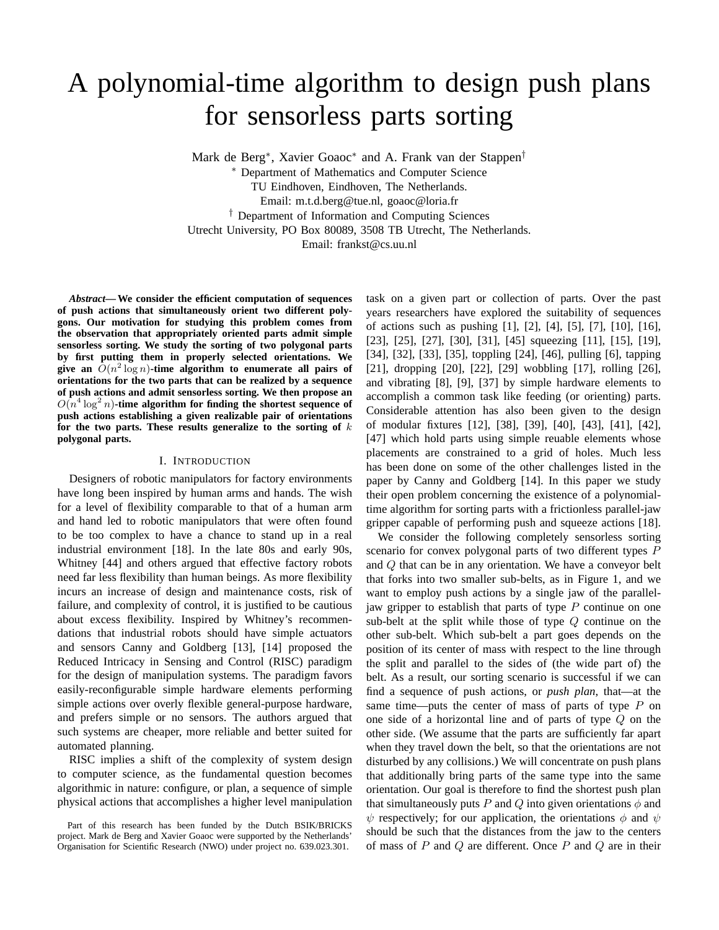# A polynomial-time algorithm to design push plans for sensorless parts sorting

Mark de Berg<sup>∗</sup> , Xavier Goaoc<sup>∗</sup> and A. Frank van der Stappen†

<sup>∗</sup> Department of Mathematics and Computer Science TU Eindhoven, Eindhoven, The Netherlands. Email: m.t.d.berg@tue.nl, goaoc@loria.fr † Department of Information and Computing Sciences Utrecht University, PO Box 80089, 3508 TB Utrecht, The Netherlands. Email: frankst@cs.uu.nl

*Abstract***— We consider the efficient computation of sequences of push actions that simultaneously orient two different polygons. Our motivation for studying this problem comes from the observation that appropriately oriented parts admit simple sensorless sorting. We study the sorting of two polygonal parts by first putting them in properly selected orientations. We** give an  $O(n^2 \log n)$ -time algorithm to enumerate all pairs of **orientations for the two parts that can be realized by a sequence of push actions and admit sensorless sorting. We then propose an**  $O(n^4 \log^2 n)$ -time algorithm for finding the shortest sequence of **push actions establishing a given realizable pair of orientations for the two parts. These results generalize to the sorting of** k **polygonal parts.**

## I. INTRODUCTION

Designers of robotic manipulators for factory environments have long been inspired by human arms and hands. The wish for a level of flexibility comparable to that of a human arm and hand led to robotic manipulators that were often found to be too complex to have a chance to stand up in a real industrial environment [18]. In the late 80s and early 90s, Whitney [44] and others argued that effective factory robots need far less flexibility than human beings. As more flexibility incurs an increase of design and maintenance costs, risk of failure, and complexity of control, it is justified to be cautious about excess flexibility. Inspired by Whitney's recommendations that industrial robots should have simple actuators and sensors Canny and Goldberg [13], [14] proposed the Reduced Intricacy in Sensing and Control (RISC) paradigm for the design of manipulation systems. The paradigm favors easily-reconfigurable simple hardware elements performing simple actions over overly flexible general-purpose hardware, and prefers simple or no sensors. The authors argued that such systems are cheaper, more reliable and better suited for automated planning.

RISC implies a shift of the complexity of system design to computer science, as the fundamental question becomes algorithmic in nature: configure, or plan, a sequence of simple physical actions that accomplishes a higher level manipulation task on a given part or collection of parts. Over the past years researchers have explored the suitability of sequences of actions such as pushing [1], [2], [4], [5], [7], [10], [16], [23], [25], [27], [30], [31], [45] squeezing [11], [15], [19], [34], [32], [33], [35], toppling [24], [46], pulling [6], tapping [21], dropping [20], [22], [29] wobbling [17], rolling [26], and vibrating [8], [9], [37] by simple hardware elements to accomplish a common task like feeding (or orienting) parts. Considerable attention has also been given to the design of modular fixtures [12], [38], [39], [40], [43], [41], [42], [47] which hold parts using simple reuable elements whose placements are constrained to a grid of holes. Much less has been done on some of the other challenges listed in the paper by Canny and Goldberg [14]. In this paper we study their open problem concerning the existence of a polynomialtime algorithm for sorting parts with a frictionless parallel-jaw gripper capable of performing push and squeeze actions [18].

We consider the following completely sensorless sorting scenario for convex polygonal parts of two different types P and Q that can be in any orientation. We have a conveyor belt that forks into two smaller sub-belts, as in Figure 1, and we want to employ push actions by a single jaw of the paralleljaw gripper to establish that parts of type  $P$  continue on one sub-belt at the split while those of type  $Q$  continue on the other sub-belt. Which sub-belt a part goes depends on the position of its center of mass with respect to the line through the split and parallel to the sides of (the wide part of) the belt. As a result, our sorting scenario is successful if we can find a sequence of push actions, or *push plan*, that—at the same time—puts the center of mass of parts of type  $P$  on one side of a horizontal line and of parts of type Q on the other side. (We assume that the parts are sufficiently far apart when they travel down the belt, so that the orientations are not disturbed by any collisions.) We will concentrate on push plans that additionally bring parts of the same type into the same orientation. Our goal is therefore to find the shortest push plan that simultaneously puts P and Q into given orientations  $\phi$  and  $\psi$  respectively; for our application, the orientations  $\phi$  and  $\psi$ should be such that the distances from the jaw to the centers of mass of  $P$  and  $Q$  are different. Once  $P$  and  $Q$  are in their

Part of this research has been funded by the Dutch BSIK/BRICKS project. Mark de Berg and Xavier Goaoc were supported by the Netherlands' Organisation for Scientific Research (NWO) under project no. 639.023.301.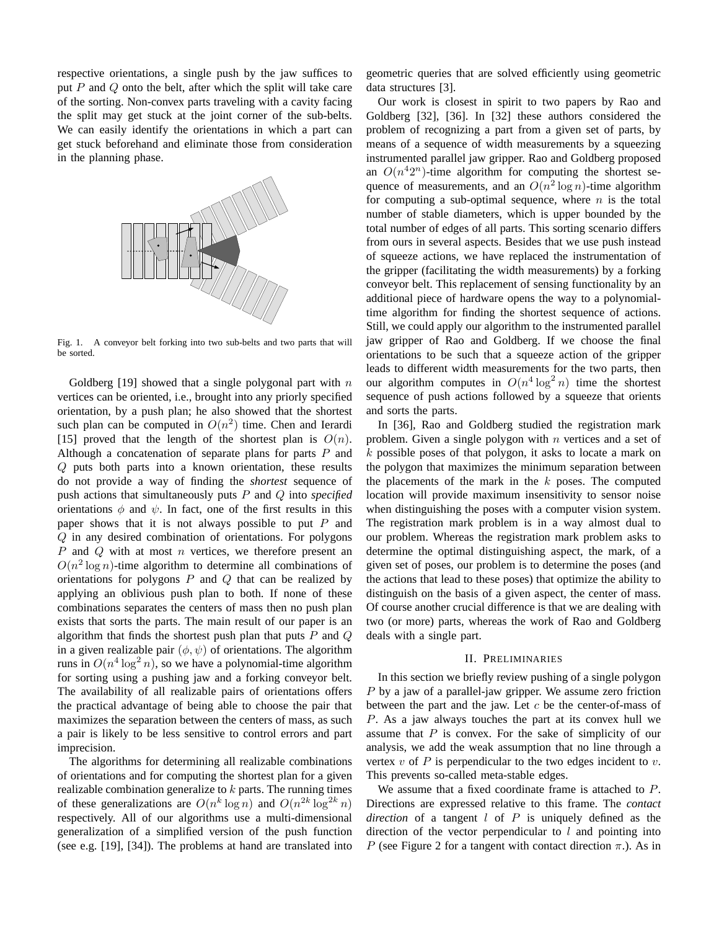respective orientations, a single push by the jaw suffices to put  $P$  and  $Q$  onto the belt, after which the split will take care of the sorting. Non-convex parts traveling with a cavity facing the split may get stuck at the joint corner of the sub-belts. We can easily identify the orientations in which a part can get stuck beforehand and eliminate those from consideration in the planning phase.



Fig. 1. A conveyor belt forking into two sub-belts and two parts that will be sorted.

Goldberg  $[19]$  showed that a single polygonal part with n vertices can be oriented, i.e., brought into any priorly specified orientation, by a push plan; he also showed that the shortest such plan can be computed in  $O(n^2)$  time. Chen and Ierardi [15] proved that the length of the shortest plan is  $O(n)$ . Although a concatenation of separate plans for parts  $P$  and Q puts both parts into a known orientation, these results do not provide a way of finding the *shortest* sequence of push actions that simultaneously puts P and Q into *specified* orientations  $\phi$  and  $\psi$ . In fact, one of the first results in this paper shows that it is not always possible to put  $P$  and Q in any desired combination of orientations. For polygons P and Q with at most  $n$  vertices, we therefore present an  $O(n^2 \log n)$ -time algorithm to determine all combinations of orientations for polygons  $P$  and  $Q$  that can be realized by applying an oblivious push plan to both. If none of these combinations separates the centers of mass then no push plan exists that sorts the parts. The main result of our paper is an algorithm that finds the shortest push plan that puts  $P$  and  $Q$ in a given realizable pair  $(\phi, \psi)$  of orientations. The algorithm runs in  $O(n^4 \log^2 n)$ , so we have a polynomial-time algorithm for sorting using a pushing jaw and a forking conveyor belt. The availability of all realizable pairs of orientations offers the practical advantage of being able to choose the pair that maximizes the separation between the centers of mass, as such a pair is likely to be less sensitive to control errors and part imprecision.

The algorithms for determining all realizable combinations of orientations and for computing the shortest plan for a given realizable combination generalize to  $k$  parts. The running times of these generalizations are  $O(n^k \log n)$  and  $O(n^{2k} \log^{2k} n)$ respectively. All of our algorithms use a multi-dimensional generalization of a simplified version of the push function (see e.g. [19], [34]). The problems at hand are translated into

geometric queries that are solved efficiently using geometric data structures [3].

Our work is closest in spirit to two papers by Rao and Goldberg [32], [36]. In [32] these authors considered the problem of recognizing a part from a given set of parts, by means of a sequence of width measurements by a squeezing instrumented parallel jaw gripper. Rao and Goldberg proposed an  $O(n^42^n)$ -time algorithm for computing the shortest sequence of measurements, and an  $O(n^2 \log n)$ -time algorithm for computing a sub-optimal sequence, where  $n$  is the total number of stable diameters, which is upper bounded by the total number of edges of all parts. This sorting scenario differs from ours in several aspects. Besides that we use push instead of squeeze actions, we have replaced the instrumentation of the gripper (facilitating the width measurements) by a forking conveyor belt. This replacement of sensing functionality by an additional piece of hardware opens the way to a polynomialtime algorithm for finding the shortest sequence of actions. Still, we could apply our algorithm to the instrumented parallel jaw gripper of Rao and Goldberg. If we choose the final orientations to be such that a squeeze action of the gripper leads to different width measurements for the two parts, then our algorithm computes in  $O(n^4 \log^2 n)$  time the shortest sequence of push actions followed by a squeeze that orients and sorts the parts.

In [36], Rao and Goldberg studied the registration mark problem. Given a single polygon with  $n$  vertices and a set of k possible poses of that polygon, it asks to locate a mark on the polygon that maximizes the minimum separation between the placements of the mark in the  $k$  poses. The computed location will provide maximum insensitivity to sensor noise when distinguishing the poses with a computer vision system. The registration mark problem is in a way almost dual to our problem. Whereas the registration mark problem asks to determine the optimal distinguishing aspect, the mark, of a given set of poses, our problem is to determine the poses (and the actions that lead to these poses) that optimize the ability to distinguish on the basis of a given aspect, the center of mass. Of course another crucial difference is that we are dealing with two (or more) parts, whereas the work of Rao and Goldberg deals with a single part.

## II. PRELIMINARIES

In this section we briefly review pushing of a single polygon P by a jaw of a parallel-jaw gripper. We assume zero friction between the part and the jaw. Let  $c$  be the center-of-mass of P. As a jaw always touches the part at its convex hull we assume that P is convex. For the sake of simplicity of our analysis, we add the weak assumption that no line through a vertex  $v$  of  $P$  is perpendicular to the two edges incident to  $v$ . This prevents so-called meta-stable edges.

We assume that a fixed coordinate frame is attached to P. Directions are expressed relative to this frame. The *contact direction* of a tangent  $l$  of  $P$  is uniquely defined as the direction of the vector perpendicular to  $l$  and pointing into P (see Figure 2 for a tangent with contact direction  $\pi$ .). As in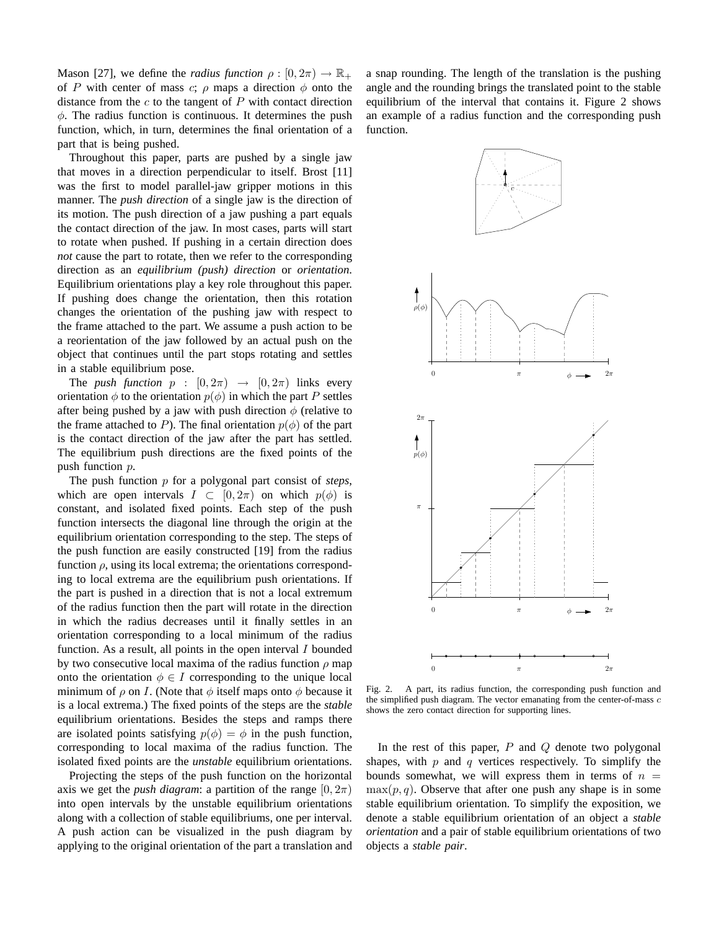Mason [27], we define the *radius function*  $\rho : [0, 2\pi) \to \mathbb{R}_+$ of P with center of mass c;  $\rho$  maps a direction  $\phi$  onto the distance from the  $c$  to the tangent of  $P$  with contact direction  $\phi$ . The radius function is continuous. It determines the push function, which, in turn, determines the final orientation of a part that is being pushed.

Throughout this paper, parts are pushed by a single jaw that moves in a direction perpendicular to itself. Brost [11] was the first to model parallel-jaw gripper motions in this manner. The *push direction* of a single jaw is the direction of its motion. The push direction of a jaw pushing a part equals the contact direction of the jaw. In most cases, parts will start to rotate when pushed. If pushing in a certain direction does *not* cause the part to rotate, then we refer to the corresponding direction as an *equilibrium (push) direction* or *orientation*. Equilibrium orientations play a key role throughout this paper. If pushing does change the orientation, then this rotation changes the orientation of the pushing jaw with respect to the frame attached to the part. We assume a push action to be a reorientation of the jaw followed by an actual push on the object that continues until the part stops rotating and settles in a stable equilibrium pose.

The *push function*  $p : [0, 2\pi) \rightarrow [0, 2\pi)$  links every orientation  $\phi$  to the orientation  $p(\phi)$  in which the part P settles after being pushed by a jaw with push direction  $\phi$  (relative to the frame attached to P). The final orientation  $p(\phi)$  of the part is the contact direction of the jaw after the part has settled. The equilibrium push directions are the fixed points of the push function p.

The push function p for a polygonal part consist of *steps*, which are open intervals  $I \subset [0, 2\pi)$  on which  $p(\phi)$  is constant, and isolated fixed points. Each step of the push function intersects the diagonal line through the origin at the equilibrium orientation corresponding to the step. The steps of the push function are easily constructed [19] from the radius function  $\rho$ , using its local extrema; the orientations corresponding to local extrema are the equilibrium push orientations. If the part is pushed in a direction that is not a local extremum of the radius function then the part will rotate in the direction in which the radius decreases until it finally settles in an orientation corresponding to a local minimum of the radius function. As a result, all points in the open interval  $I$  bounded by two consecutive local maxima of the radius function  $\rho$  map onto the orientation  $\phi \in I$  corresponding to the unique local minimum of  $\rho$  on I. (Note that  $\phi$  itself maps onto  $\phi$  because it is a local extrema.) The fixed points of the steps are the *stable* equilibrium orientations. Besides the steps and ramps there are isolated points satisfying  $p(\phi) = \phi$  in the push function, corresponding to local maxima of the radius function. The isolated fixed points are the *unstable* equilibrium orientations.

Projecting the steps of the push function on the horizontal axis we get the *push diagram*: a partition of the range  $[0, 2\pi)$ into open intervals by the unstable equilibrium orientations along with a collection of stable equilibriums, one per interval. A push action can be visualized in the push diagram by applying to the original orientation of the part a translation and a snap rounding. The length of the translation is the pushing angle and the rounding brings the translated point to the stable equilibrium of the interval that contains it. Figure 2 shows an example of a radius function and the corresponding push function.



Fig. 2. A part, its radius function, the corresponding push function and the simplified push diagram. The vector emanating from the center-of-mass  $c$ shows the zero contact direction for supporting lines.

In the rest of this paper,  $P$  and  $Q$  denote two polygonal shapes, with  $p$  and  $q$  vertices respectively. To simplify the bounds somewhat, we will express them in terms of  $n =$  $\max(p, q)$ . Observe that after one push any shape is in some stable equilibrium orientation. To simplify the exposition, we denote a stable equilibrium orientation of an object a *stable orientation* and a pair of stable equilibrium orientations of two objects a *stable pair*.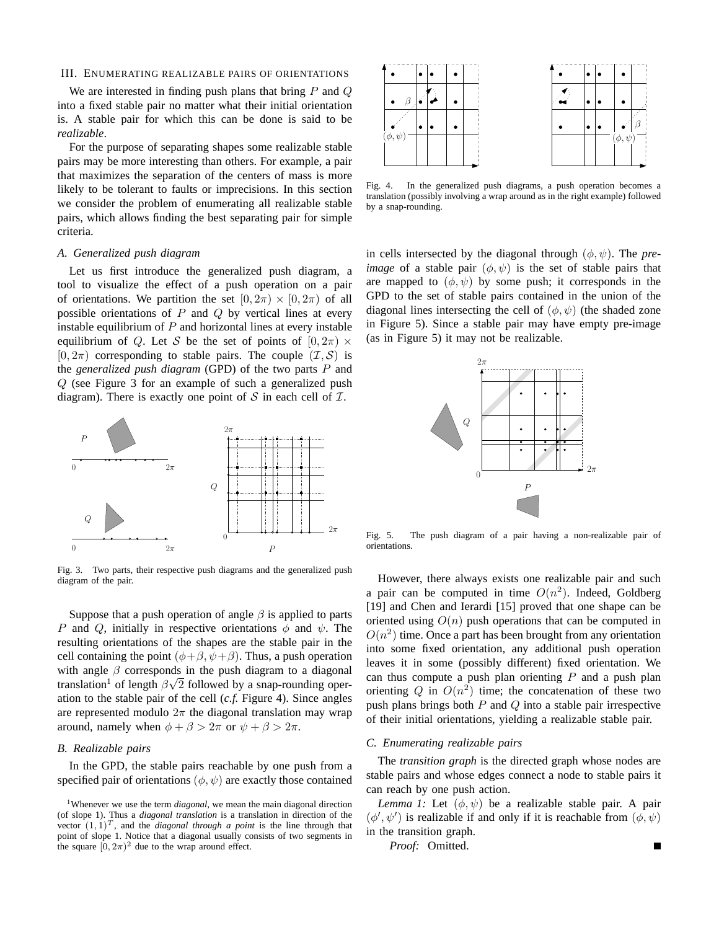## III. ENUMERATING REALIZABLE PAIRS OF ORIENTATIONS

We are interested in finding push plans that bring  $P$  and  $Q$ into a fixed stable pair no matter what their initial orientation is. A stable pair for which this can be done is said to be *realizable*.

For the purpose of separating shapes some realizable stable pairs may be more interesting than others. For example, a pair that maximizes the separation of the centers of mass is more likely to be tolerant to faults or imprecisions. In this section we consider the problem of enumerating all realizable stable pairs, which allows finding the best separating pair for simple criteria.

## *A. Generalized push diagram*

Let us first introduce the generalized push diagram, a tool to visualize the effect of a push operation on a pair of orientations. We partition the set  $[0, 2\pi) \times [0, 2\pi)$  of all possible orientations of  $P$  and  $Q$  by vertical lines at every instable equilibrium of  $P$  and horizontal lines at every instable equilibrium of Q. Let S be the set of points of  $[0, 2\pi)$  ×  $[0, 2\pi)$  corresponding to stable pairs. The couple  $(\mathcal{I}, \mathcal{S})$  is the *generalized push diagram* (GPD) of the two parts P and Q (see Figure 3 for an example of such a generalized push diagram). There is exactly one point of  $S$  in each cell of  $I$ .



Fig. 3. Two parts, their respective push diagrams and the generalized push diagram of the pair.

Suppose that a push operation of angle  $\beta$  is applied to parts P and Q, initially in respective orientations  $\phi$  and  $\psi$ . The resulting orientations of the shapes are the stable pair in the cell containing the point  $(\phi + \beta, \psi + \beta)$ . Thus, a push operation with angle  $\beta$  corresponds in the push diagram to a diagonal translation<sup>1</sup> of length  $\beta\sqrt{2}$  followed by a snap-rounding operation to the stable pair of the cell (*c.f.* Figure 4). Since angles are represented modulo  $2\pi$  the diagonal translation may wrap around, namely when  $\phi + \beta > 2\pi$  or  $\psi + \beta > 2\pi$ .

## *B. Realizable pairs*

In the GPD, the stable pairs reachable by one push from a specified pair of orientations  $(\phi, \psi)$  are exactly those contained



Fig. 4. In the generalized push diagrams, a push operation becomes a translation (possibly involving a wrap around as in the right example) followed by a snap-rounding.

in cells intersected by the diagonal through  $(\phi, \psi)$ . The *preimage* of a stable pair  $(\phi, \psi)$  is the set of stable pairs that are mapped to  $(\phi, \psi)$  by some push; it corresponds in the GPD to the set of stable pairs contained in the union of the diagonal lines intersecting the cell of  $(\phi, \psi)$  (the shaded zone in Figure 5). Since a stable pair may have empty pre-image (as in Figure 5) it may not be realizable.



Fig. 5. The push diagram of a pair having a non-realizable pair of orientations.

However, there always exists one realizable pair and such a pair can be computed in time  $O(n^2)$ . Indeed, Goldberg [19] and Chen and Ierardi [15] proved that one shape can be oriented using  $O(n)$  push operations that can be computed in  $O(n^2)$  time. Once a part has been brought from any orientation into some fixed orientation, any additional push operation leaves it in some (possibly different) fixed orientation. We can thus compute a push plan orienting  $P$  and a push plan orienting Q in  $O(n^2)$  time; the concatenation of these two push plans brings both  $P$  and  $Q$  into a stable pair irrespective of their initial orientations, yielding a realizable stable pair.

## *C. Enumerating realizable pairs*

The *transition graph* is the directed graph whose nodes are stable pairs and whose edges connect a node to stable pairs it can reach by one push action.

*Lemma 1:* Let  $(\phi, \psi)$  be a realizable stable pair. A pair  $(\phi', \psi')$  is realizable if and only if it is reachable from  $(\phi, \psi)$ in the transition graph.

*Proof:* Omitted.

<sup>1</sup>Whenever we use the term *diagonal*, we mean the main diagonal direction (of slope 1). Thus a *diagonal translation* is a translation in direction of the vector  $(1, 1)^T$ , and the *diagonal through a point* is the line through that point of slope 1. Notice that a diagonal usually consists of two segments in the square  $(0, 2\pi)^2$  due to the wrap around effect.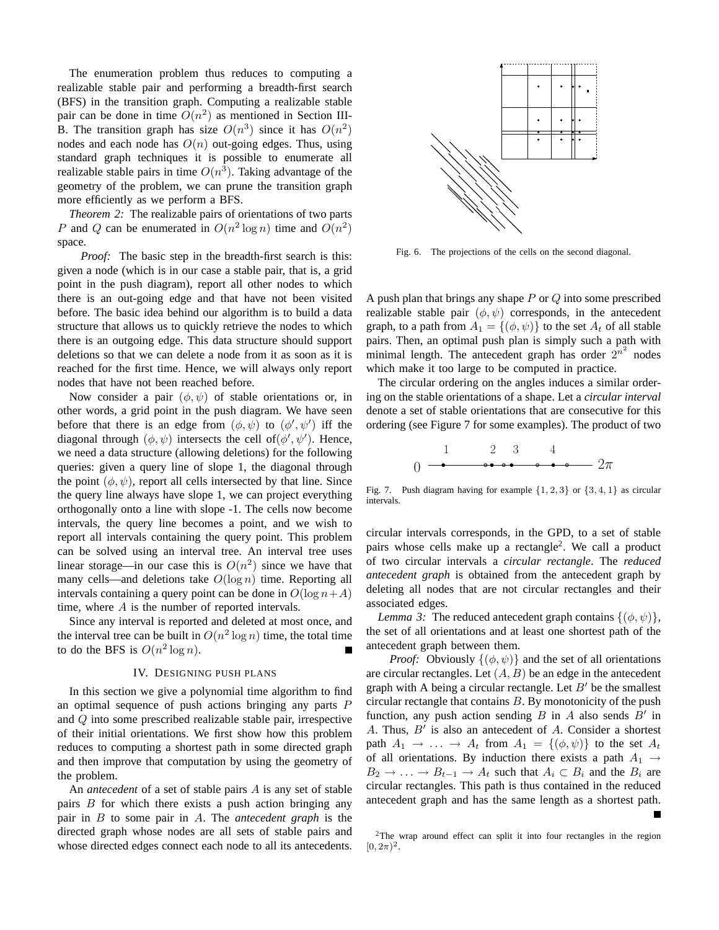The enumeration problem thus reduces to computing a realizable stable pair and performing a breadth-first search (BFS) in the transition graph. Computing a realizable stable pair can be done in time  $O(n^2)$  as mentioned in Section III-B. The transition graph has size  $O(n^3)$  since it has  $O(n^2)$ nodes and each node has  $O(n)$  out-going edges. Thus, using standard graph techniques it is possible to enumerate all realizable stable pairs in time  $O(n^3)$ . Taking advantage of the geometry of the problem, we can prune the transition graph more efficiently as we perform a BFS.

*Theorem 2:* The realizable pairs of orientations of two parts P and Q can be enumerated in  $O(n^2 \log n)$  time and  $O(n^2)$ space.

*Proof:* The basic step in the breadth-first search is this: given a node (which is in our case a stable pair, that is, a grid point in the push diagram), report all other nodes to which there is an out-going edge and that have not been visited before. The basic idea behind our algorithm is to build a data structure that allows us to quickly retrieve the nodes to which there is an outgoing edge. This data structure should support deletions so that we can delete a node from it as soon as it is reached for the first time. Hence, we will always only report nodes that have not been reached before.

Now consider a pair  $(\phi, \psi)$  of stable orientations or, in other words, a grid point in the push diagram. We have seen before that there is an edge from  $(\phi, \psi)$  to  $(\phi', \psi')$  iff the diagonal through  $(\phi, \psi)$  intersects the cell of  $(\phi', \psi')$ . Hence, we need a data structure (allowing deletions) for the following queries: given a query line of slope 1, the diagonal through the point  $(\phi, \psi)$ , report all cells intersected by that line. Since the query line always have slope 1, we can project everything orthogonally onto a line with slope -1. The cells now become intervals, the query line becomes a point, and we wish to report all intervals containing the query point. This problem can be solved using an interval tree. An interval tree uses linear storage—in our case this is  $O(n^2)$  since we have that many cells—and deletions take  $O(\log n)$  time. Reporting all intervals containing a query point can be done in  $O(\log n + A)$ time, where A is the number of reported intervals.

Since any interval is reported and deleted at most once, and the interval tree can be built in  $O(n^2 \log n)$  time, the total time to do the BFS is  $O(n^2 \log n)$ .

## IV. DESIGNING PUSH PLANS

In this section we give a polynomial time algorithm to find an optimal sequence of push actions bringing any parts P and Q into some prescribed realizable stable pair, irrespective of their initial orientations. We first show how this problem reduces to computing a shortest path in some directed graph and then improve that computation by using the geometry of the problem.

An *antecedent* of a set of stable pairs A is any set of stable pairs  $B$  for which there exists a push action bringing any pair in B to some pair in A. The *antecedent graph* is the directed graph whose nodes are all sets of stable pairs and whose directed edges connect each node to all its antecedents.



Fig. 6. The projections of the cells on the second diagonal.

A push plan that brings any shape  $P$  or  $Q$  into some prescribed realizable stable pair  $(\phi, \psi)$  corresponds, in the antecedent graph, to a path from  $A_1 = \{(\phi, \psi)\}\$ to the set  $A_t$  of all stable pairs. Then, an optimal push plan is simply such a path with minimal length. The antecedent graph has order  $2^{n^2}$  nodes which make it too large to be computed in practice.

The circular ordering on the angles induces a similar ordering on the stable orientations of a shape. Let a *circular interval* denote a set of stable orientations that are consecutive for this ordering (see Figure 7 for some examples). The product of two

$$
0 \longrightarrow \begin{array}{c} 1 & 2 & 3 & 4 \\ \hline \bullet \bullet \bullet \bullet \bullet \bullet \bullet \bullet \bullet \bullet \bullet \bullet \end{array} 2\pi
$$

Fig. 7. Push diagram having for example  $\{1, 2, 3\}$  or  $\{3, 4, 1\}$  as circular intervals.

circular intervals corresponds, in the GPD, to a set of stable pairs whose cells make up a rectangle<sup>2</sup>. We call a product of two circular intervals a *circular rectangle*. The *reduced antecedent graph* is obtained from the antecedent graph by deleting all nodes that are not circular rectangles and their associated edges.

*Lemma 3:* The reduced antecedent graph contains  $\{(\phi, \psi)\},\$ the set of all orientations and at least one shortest path of the antecedent graph between them.

*Proof:* Obviously  $\{(\phi, \psi)\}\$ and the set of all orientations are circular rectangles. Let  $(A, B)$  be an edge in the antecedent graph with A being a circular rectangle. Let  $B'$  be the smallest circular rectangle that contains  $B$ . By monotonicity of the push function, any push action sending  $B$  in  $A$  also sends  $B'$  in A. Thus,  $B'$  is also an antecedent of A. Consider a shortest path  $A_1 \rightarrow \ldots \rightarrow A_t$  from  $A_1 = \{(\phi, \psi)\}\$ to the set  $A_t$ of all orientations. By induction there exists a path  $A_1 \rightarrow$  $B_2 \to \ldots \to B_{t-1} \to A_t$  such that  $A_i \subset B_i$  and the  $B_i$  are circular rectangles. This path is thus contained in the reduced antecedent graph and has the same length as a shortest path.

<sup>2</sup>The wrap around effect can split it into four rectangles in the region  $[0, 2\pi)^2$ .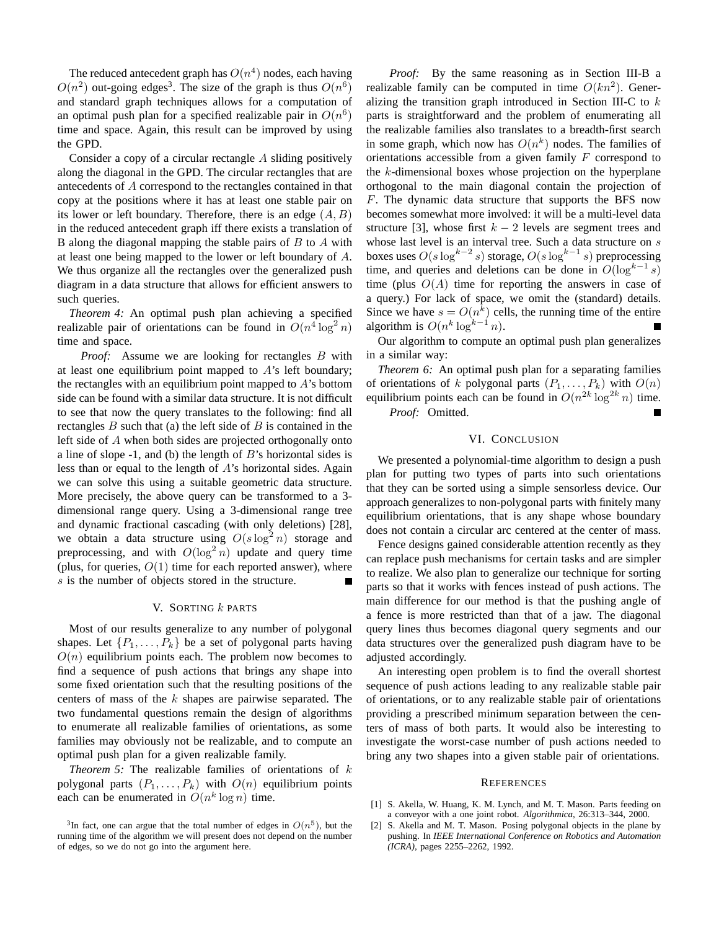The reduced antecedent graph has  $O(n^4)$  nodes, each having  $O(n^2)$  out-going edges<sup>3</sup>. The size of the graph is thus  $O(n^6)$ and standard graph techniques allows for a computation of an optimal push plan for a specified realizable pair in  $O(n^6)$ time and space. Again, this result can be improved by using the GPD.

Consider a copy of a circular rectangle A sliding positively along the diagonal in the GPD. The circular rectangles that are antecedents of A correspond to the rectangles contained in that copy at the positions where it has at least one stable pair on its lower or left boundary. Therefore, there is an edge  $(A, B)$ in the reduced antecedent graph iff there exists a translation of B along the diagonal mapping the stable pairs of  $B$  to  $A$  with at least one being mapped to the lower or left boundary of A. We thus organize all the rectangles over the generalized push diagram in a data structure that allows for efficient answers to such queries.

*Theorem 4:* An optimal push plan achieving a specified realizable pair of orientations can be found in  $O(n^4 \log^2 n)$ time and space.

*Proof:* Assume we are looking for rectangles B with at least one equilibrium point mapped to  $A$ 's left boundary; the rectangles with an equilibrium point mapped to  $A$ 's bottom side can be found with a similar data structure. It is not difficult to see that now the query translates to the following: find all rectangles  $B$  such that (a) the left side of  $B$  is contained in the left side of A when both sides are projected orthogonally onto a line of slope  $-1$ , and (b) the length of  $B$ 's horizontal sides is less than or equal to the length of A's horizontal sides. Again we can solve this using a suitable geometric data structure. More precisely, the above query can be transformed to a 3 dimensional range query. Using a 3-dimensional range tree and dynamic fractional cascading (with only deletions) [28], we obtain a data structure using  $O(s \log^2 n)$  storage and preprocessing, and with  $O(\log^2 n)$  update and query time (plus, for queries,  $O(1)$  time for each reported answer), where s is the number of objects stored in the structure.

## V. SORTING  $k$  parts

Most of our results generalize to any number of polygonal shapes. Let  $\{P_1, \ldots, P_k\}$  be a set of polygonal parts having  $O(n)$  equilibrium points each. The problem now becomes to find a sequence of push actions that brings any shape into some fixed orientation such that the resulting positions of the centers of mass of the k shapes are pairwise separated. The two fundamental questions remain the design of algorithms to enumerate all realizable families of orientations, as some families may obviously not be realizable, and to compute an optimal push plan for a given realizable family.

*Theorem 5:* The realizable families of orientations of k polygonal parts  $(P_1, \ldots, P_k)$  with  $O(n)$  equilibrium points each can be enumerated in  $O(n^k \log n)$  time.

*Proof:* By the same reasoning as in Section III-B a realizable family can be computed in time  $O(kn^2)$ . Generalizing the transition graph introduced in Section III-C to  $k$ parts is straightforward and the problem of enumerating all the realizable families also translates to a breadth-first search in some graph, which now has  $O(n^k)$  nodes. The families of orientations accessible from a given family  $F$  correspond to the  $k$ -dimensional boxes whose projection on the hyperplane orthogonal to the main diagonal contain the projection of F. The dynamic data structure that supports the BFS now becomes somewhat more involved: it will be a multi-level data structure [3], whose first  $k - 2$  levels are segment trees and whose last level is an interval tree. Such a data structure on  $s$ boxes uses  $O(s \log^{k-2} s)$  storage,  $O(s \log^{k-1} s)$  preprocessing time, and queries and deletions can be done in  $O(\log^{k-1} s)$ time (plus  $O(A)$  time for reporting the answers in case of a query.) For lack of space, we omit the (standard) details. Since we have  $s = O(n^k)$  cells, the running time of the entire algorithm is  $O(n^k \log^{k-1} n)$ .

Our algorithm to compute an optimal push plan generalizes in a similar way:

*Theorem 6:* An optimal push plan for a separating families of orientations of k polygonal parts  $(P_1, \ldots, P_k)$  with  $O(n)$ equilibrium points each can be found in  $O(n^{2k} \log^{2k} n)$  time. *Proof:* Omitted.

## VI. CONCLUSION

We presented a polynomial-time algorithm to design a push plan for putting two types of parts into such orientations that they can be sorted using a simple sensorless device. Our approach generalizes to non-polygonal parts with finitely many equilibrium orientations, that is any shape whose boundary does not contain a circular arc centered at the center of mass.

Fence designs gained considerable attention recently as they can replace push mechanisms for certain tasks and are simpler to realize. We also plan to generalize our technique for sorting parts so that it works with fences instead of push actions. The main difference for our method is that the pushing angle of a fence is more restricted than that of a jaw. The diagonal query lines thus becomes diagonal query segments and our data structures over the generalized push diagram have to be adjusted accordingly.

An interesting open problem is to find the overall shortest sequence of push actions leading to any realizable stable pair of orientations, or to any realizable stable pair of orientations providing a prescribed minimum separation between the centers of mass of both parts. It would also be interesting to investigate the worst-case number of push actions needed to bring any two shapes into a given stable pair of orientations.

#### **REFERENCES**

- [1] S. Akella, W. Huang, K. M. Lynch, and M. T. Mason. Parts feeding on a conveyor with a one joint robot. *Algorithmica*, 26:313–344, 2000.
- [2] S. Akella and M. T. Mason. Posing polygonal objects in the plane by pushing. In *IEEE International Conference on Robotics and Automation (ICRA)*, pages 2255–2262, 1992.

<sup>&</sup>lt;sup>3</sup>In fact, one can argue that the total number of edges in  $O(n^5)$ , but the running time of the algorithm we will present does not depend on the number of edges, so we do not go into the argument here.